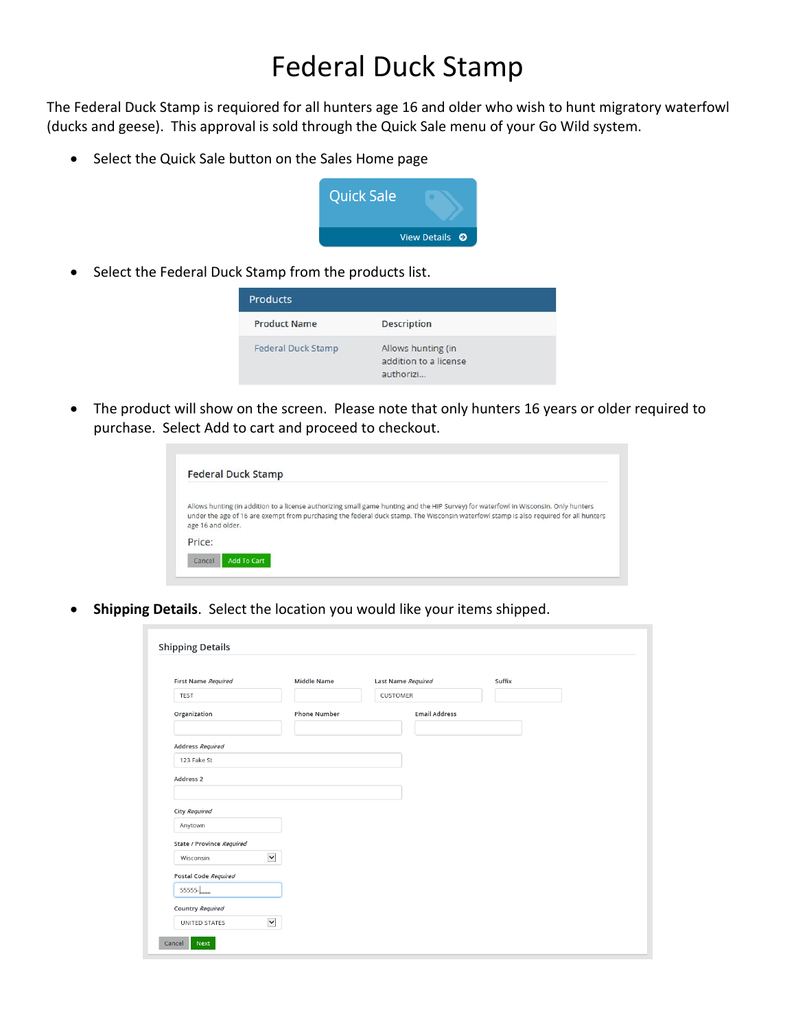## Federal Duck Stamp

The Federal Duck Stamp is requiored for all hunters age 16 and older who wish to hunt migratory waterfowl (ducks and geese). This approval is sold through the Quick Sale menu of your Go Wild system.

• Select the Quick Sale button on the Sales Home page



• Select the Federal Duck Stamp from the products list.

| <b>Products</b>           |                                                          |  |
|---------------------------|----------------------------------------------------------|--|
| <b>Product Name</b>       | <b>Description</b>                                       |  |
| <b>Federal Duck Stamp</b> | Allows hunting (in<br>addition to a license<br>authorizi |  |

• The product will show on the screen. Please note that only hunters 16 years or older required to purchase. Select Add to cart and proceed to checkout.

| Allows hunting (in addition to a license authorizing small game hunting and the HIP Survey) for waterfowl in Wisconsin. Only hunters<br>under the age of 16 are exempt from purchasing the federal duck stamp. The Wisconsin waterfowl stamp is also required for all hunters |
|-------------------------------------------------------------------------------------------------------------------------------------------------------------------------------------------------------------------------------------------------------------------------------|
|                                                                                                                                                                                                                                                                               |
|                                                                                                                                                                                                                                                                               |
|                                                                                                                                                                                                                                                                               |

• **Shipping Details**. Select the location you would like your items shipped.

| First Name Required       | Middle Name         | Last Name Required   | Suffix |  |
|---------------------------|---------------------|----------------------|--------|--|
| <b>TEST</b>               |                     | CUSTOMER             |        |  |
| Organization              | <b>Phone Number</b> | <b>Email Address</b> |        |  |
| Address Required          |                     |                      |        |  |
| 123 Fake St               |                     |                      |        |  |
| Address 2                 |                     |                      |        |  |
| City Required             |                     |                      |        |  |
| Anytown                   |                     |                      |        |  |
| State / Province Required |                     |                      |        |  |
| Wisconsin                 | $\check{ }$         |                      |        |  |
| Postal Code Required      |                     |                      |        |  |
| 55555-                    |                     |                      |        |  |
| Country Required          |                     |                      |        |  |
|                           | $\check{ }$         |                      |        |  |